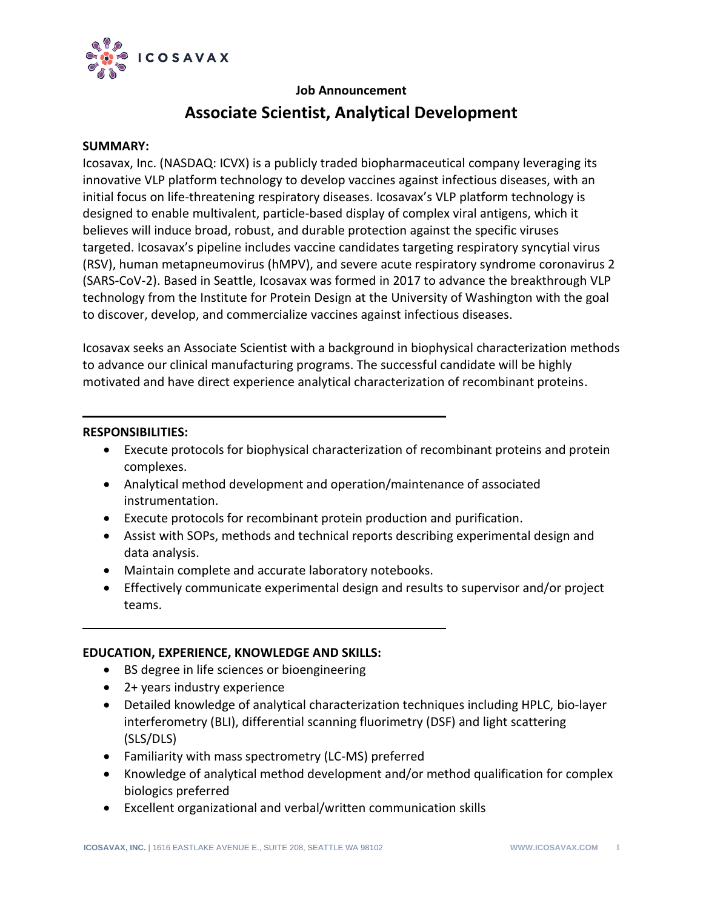

# **Job Announcement**

# **Associate Scientist, Analytical Development**

#### **SUMMARY:**

Icosavax, Inc. (NASDAQ: ICVX) is a publicly traded biopharmaceutical company leveraging its innovative VLP platform technology to develop vaccines against infectious diseases, with an initial focus on life-threatening respiratory diseases. Icosavax's VLP platform technology is designed to enable multivalent, particle-based display of complex viral antigens, which it believes will induce broad, robust, and durable protection against the specific viruses targeted. Icosavax's pipeline includes vaccine candidates targeting respiratory syncytial virus (RSV), human metapneumovirus (hMPV), and severe acute respiratory syndrome coronavirus 2 (SARS-CoV-2). Based in Seattle, Icosavax was formed in 2017 to advance the breakthrough VLP technology from the Institute for Protein Design at the University of Washington with the goal to discover, develop, and commercialize vaccines against infectious diseases.

Icosavax seeks an Associate Scientist with a background in biophysical characterization methods to advance our clinical manufacturing programs. The successful candidate will be highly motivated and have direct experience analytical characterization of recombinant proteins.

#### **RESPONSIBILITIES:**

- Execute protocols for biophysical characterization of recombinant proteins and protein complexes.
- Analytical method development and operation/maintenance of associated instrumentation.
- Execute protocols for recombinant protein production and purification.
- Assist with SOPs, methods and technical reports describing experimental design and data analysis.
- Maintain complete and accurate laboratory notebooks.
- Effectively communicate experimental design and results to supervisor and/or project teams.

## **EDUCATION, EXPERIENCE, KNOWLEDGE AND SKILLS:**

- BS degree in life sciences or bioengineering
- 2+ years industry experience
- Detailed knowledge of analytical characterization techniques including HPLC, bio-layer interferometry (BLI), differential scanning fluorimetry (DSF) and light scattering (SLS/DLS)
- Familiarity with mass spectrometry (LC-MS) preferred
- Knowledge of analytical method development and/or method qualification for complex biologics preferred
- Excellent organizational and verbal/written communication skills